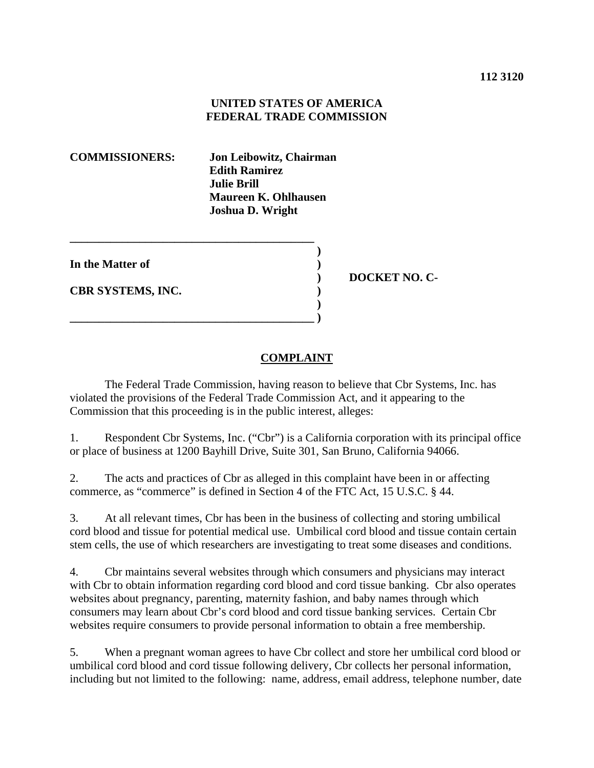## **UNITED STATES OF AMERICA FEDERAL TRADE COMMISSION**

**COMMISSIONERS: Jon Leibowitz, Chairman Edith Ramirez Julie Brill Maureen K. Ohlhausen Joshua D. Wright** 

| In the Matter of         |  |
|--------------------------|--|
| <b>CBR SYSTEMS, INC.</b> |  |
|                          |  |

**\_\_\_\_\_\_\_\_\_\_\_\_\_\_\_\_\_\_\_\_\_\_\_\_\_\_\_\_\_\_\_\_\_\_\_\_\_\_\_\_\_\_**

 **) DOCKET NO. C-**

## **COMPLAINT**

 The Federal Trade Commission, having reason to believe that Cbr Systems, Inc. has violated the provisions of the Federal Trade Commission Act, and it appearing to the Commission that this proceeding is in the public interest, alleges:

1. Respondent Cbr Systems, Inc. ("Cbr") is a California corporation with its principal office or place of business at 1200 Bayhill Drive, Suite 301, San Bruno, California 94066.

2. The acts and practices of Cbr as alleged in this complaint have been in or affecting commerce, as "commerce" is defined in Section 4 of the FTC Act, 15 U.S.C. § 44.

3. At all relevant times, Cbr has been in the business of collecting and storing umbilical cord blood and tissue for potential medical use. Umbilical cord blood and tissue contain certain stem cells, the use of which researchers are investigating to treat some diseases and conditions.

4. Cbr maintains several websites through which consumers and physicians may interact with Cbr to obtain information regarding cord blood and cord tissue banking. Cbr also operates websites about pregnancy, parenting, maternity fashion, and baby names through which consumers may learn about Cbr's cord blood and cord tissue banking services. Certain Cbr websites require consumers to provide personal information to obtain a free membership.

5. When a pregnant woman agrees to have Cbr collect and store her umbilical cord blood or umbilical cord blood and cord tissue following delivery, Cbr collects her personal information, including but not limited to the following: name, address, email address, telephone number, date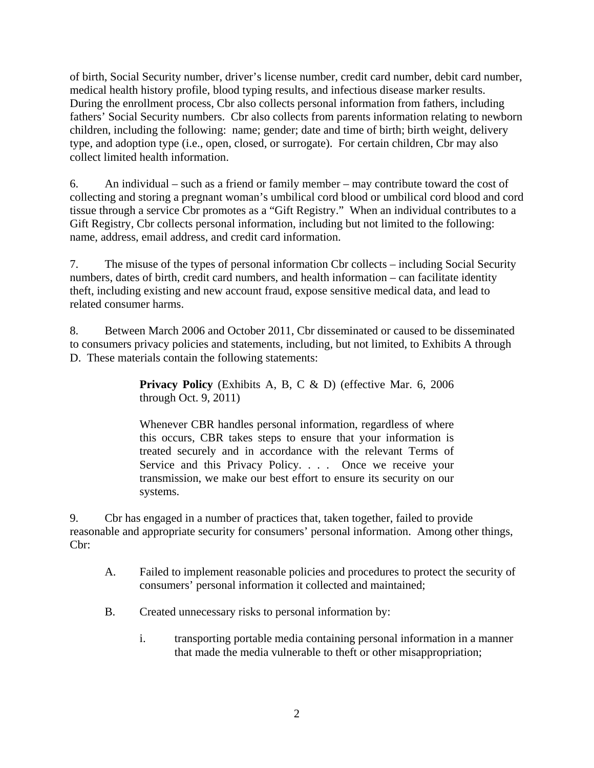of birth, Social Security number, driver's license number, credit card number, debit card number, medical health history profile, blood typing results, and infectious disease marker results. During the enrollment process, Cbr also collects personal information from fathers, including fathers' Social Security numbers. Cbr also collects from parents information relating to newborn children, including the following: name; gender; date and time of birth; birth weight, delivery type, and adoption type (i.e., open, closed, or surrogate). For certain children, Cbr may also collect limited health information.

6. An individual – such as a friend or family member – may contribute toward the cost of collecting and storing a pregnant woman's umbilical cord blood or umbilical cord blood and cord tissue through a service Cbr promotes as a "Gift Registry." When an individual contributes to a Gift Registry, Cbr collects personal information, including but not limited to the following: name, address, email address, and credit card information.

7. The misuse of the types of personal information Cbr collects – including Social Security numbers, dates of birth, credit card numbers, and health information – can facilitate identity theft, including existing and new account fraud, expose sensitive medical data, and lead to related consumer harms.

8. Between March 2006 and October 2011, Cbr disseminated or caused to be disseminated to consumers privacy policies and statements, including, but not limited, to Exhibits A through D. These materials contain the following statements:

> Privacy Policy (Exhibits A, B, C & D) (effective Mar. 6, 2006 through Oct. 9, 2011)

> Whenever CBR handles personal information, regardless of where this occurs, CBR takes steps to ensure that your information is treated securely and in accordance with the relevant Terms of Service and this Privacy Policy. . . . Once we receive your transmission, we make our best effort to ensure its security on our systems.

9. Cbr has engaged in a number of practices that, taken together, failed to provide reasonable and appropriate security for consumers' personal information. Among other things, Cbr:

- A. Failed to implement reasonable policies and procedures to protect the security of consumers' personal information it collected and maintained;
- B. Created unnecessary risks to personal information by:
	- i. transporting portable media containing personal information in a manner that made the media vulnerable to theft or other misappropriation;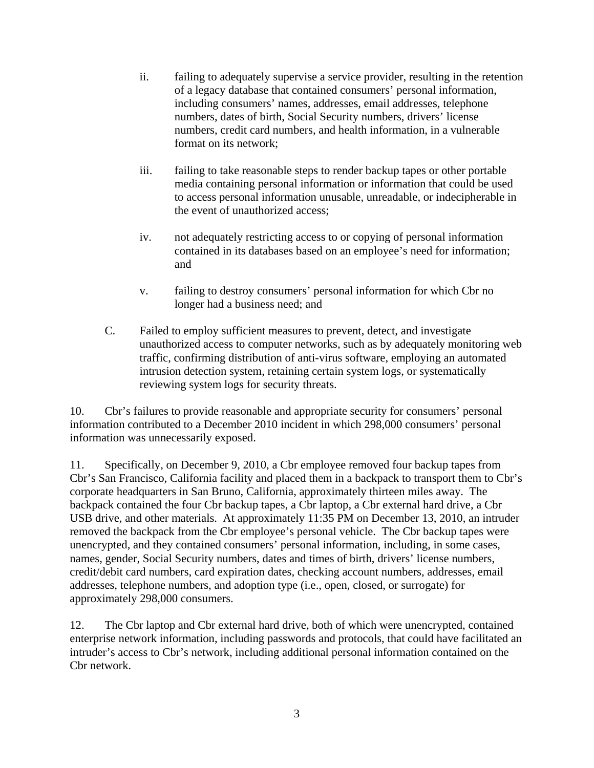- ii. failing to adequately supervise a service provider, resulting in the retention of a legacy database that contained consumers' personal information, including consumers' names, addresses, email addresses, telephone numbers, dates of birth, Social Security numbers, drivers' license numbers, credit card numbers, and health information, in a vulnerable format on its network;
- iii. failing to take reasonable steps to render backup tapes or other portable media containing personal information or information that could be used to access personal information unusable, unreadable, or indecipherable in the event of unauthorized access;
- iv. not adequately restricting access to or copying of personal information contained in its databases based on an employee's need for information; and
- v. failing to destroy consumers' personal information for which Cbr no longer had a business need; and
- C. Failed to employ sufficient measures to prevent, detect, and investigate unauthorized access to computer networks, such as by adequately monitoring web traffic, confirming distribution of anti-virus software, employing an automated intrusion detection system, retaining certain system logs, or systematically reviewing system logs for security threats.

10. Cbr's failures to provide reasonable and appropriate security for consumers' personal information contributed to a December 2010 incident in which 298,000 consumers' personal information was unnecessarily exposed.

11. Specifically, on December 9, 2010, a Cbr employee removed four backup tapes from Cbr's San Francisco, California facility and placed them in a backpack to transport them to Cbr's corporate headquarters in San Bruno, California, approximately thirteen miles away. The backpack contained the four Cbr backup tapes, a Cbr laptop, a Cbr external hard drive, a Cbr USB drive, and other materials. At approximately 11:35 PM on December 13, 2010, an intruder removed the backpack from the Cbr employee's personal vehicle. The Cbr backup tapes were unencrypted, and they contained consumers' personal information, including, in some cases, names, gender, Social Security numbers, dates and times of birth, drivers' license numbers, credit/debit card numbers, card expiration dates, checking account numbers, addresses, email addresses, telephone numbers, and adoption type (i.e., open, closed, or surrogate) for approximately 298,000 consumers.

12. The Cbr laptop and Cbr external hard drive, both of which were unencrypted, contained enterprise network information, including passwords and protocols, that could have facilitated an intruder's access to Cbr's network, including additional personal information contained on the Cbr network.